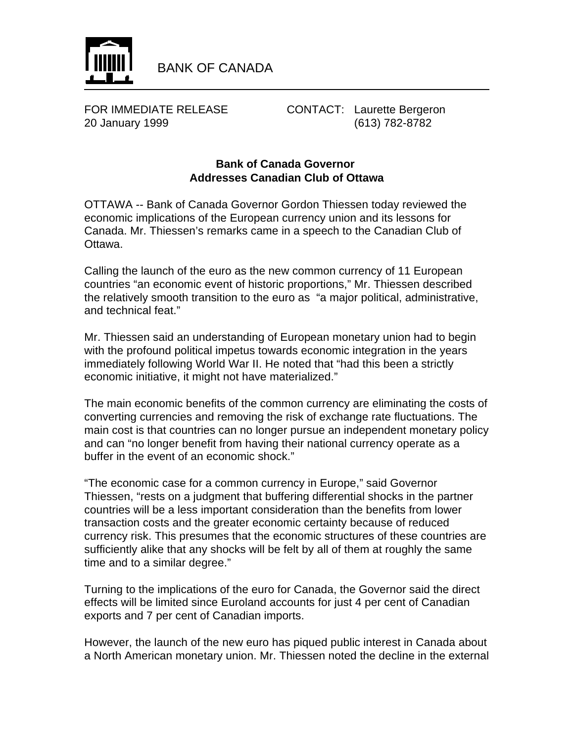

FOR IMMEDIATE RELEASE CONTACT: Laurette Bergeron 20 January 1999 (613) 782-8782

## **Bank of Canada Governor Addresses Canadian Club of Ottawa**

OTTAWA -- Bank of Canada Governor Gordon Thiessen today reviewed the economic implications of the European currency union and its lessons for Canada. Mr. Thiessen's remarks came in a speech to the Canadian Club of Ottawa.

Calling the launch of the euro as the new common currency of 11 European countries "an economic event of historic proportions," Mr. Thiessen described the relatively smooth transition to the euro as "a major political, administrative, and technical feat."

Mr. Thiessen said an understanding of European monetary union had to begin with the profound political impetus towards economic integration in the years immediately following World War II. He noted that "had this been a strictly economic initiative, it might not have materialized."

The main economic benefits of the common currency are eliminating the costs of converting currencies and removing the risk of exchange rate fluctuations. The main cost is that countries can no longer pursue an independent monetary policy and can "no longer benefit from having their national currency operate as a buffer in the event of an economic shock."

"The economic case for a common currency in Europe," said Governor Thiessen, "rests on a judgment that buffering differential shocks in the partner countries will be a less important consideration than the benefits from lower transaction costs and the greater economic certainty because of reduced currency risk. This presumes that the economic structures of these countries are sufficiently alike that any shocks will be felt by all of them at roughly the same time and to a similar degree."

Turning to the implications of the euro for Canada, the Governor said the direct effects will be limited since Euroland accounts for just 4 per cent of Canadian exports and 7 per cent of Canadian imports.

However, the launch of the new euro has piqued public interest in Canada about a North American monetary union. Mr. Thiessen noted the decline in the external